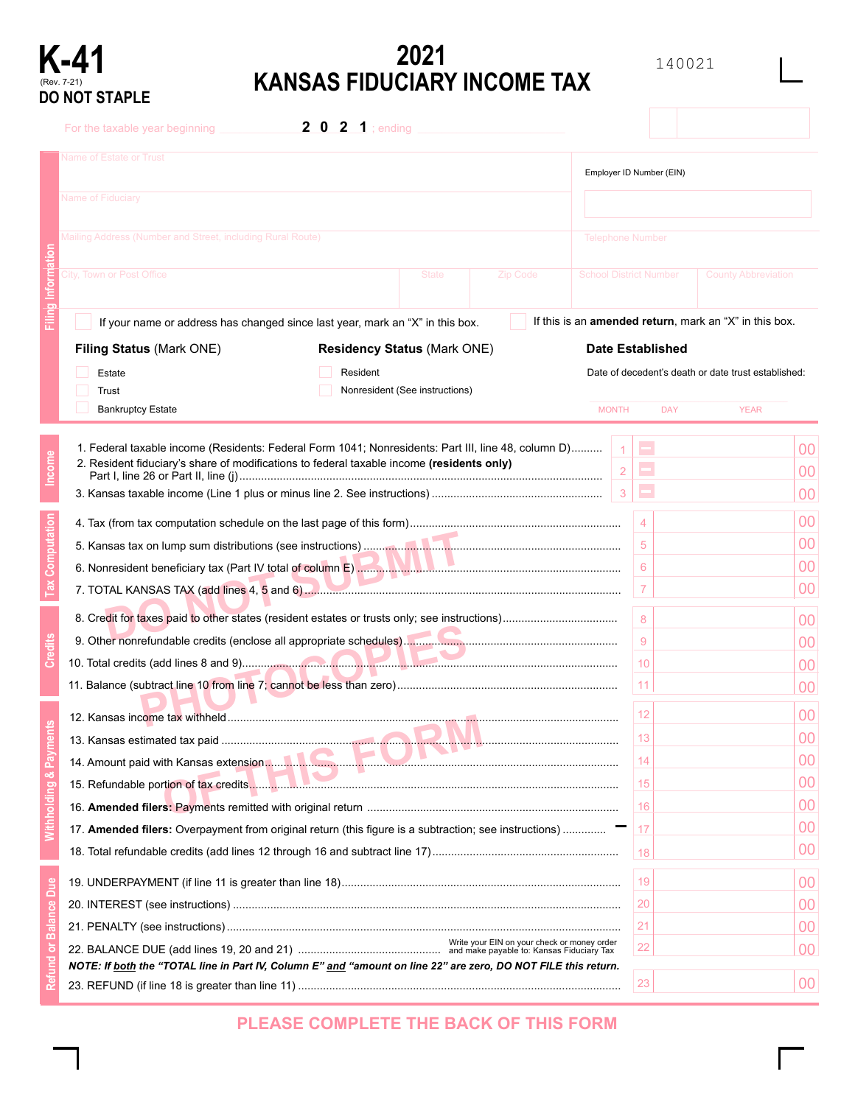# (Rev. 7-21) **DO NOT STAPLE**

# **K-41** 2021<br> **KANSAS FIDUCIARY INCOME TAX**<br> **KANSAS FIDUCIARY INCOME TAX**

140021

|  | For the taxable year beginning                                                                                                                                                                   | <b>2</b> $0$ <b>2 1</b> ; ending   |                                |          |                               |                     |                                                                |                |
|--|--------------------------------------------------------------------------------------------------------------------------------------------------------------------------------------------------|------------------------------------|--------------------------------|----------|-------------------------------|---------------------|----------------------------------------------------------------|----------------|
|  | <b>Name of Estate or Trust</b><br><b>Name of Fiduciary</b>                                                                                                                                       |                                    |                                |          | Employer ID Number (EIN)      |                     |                                                                |                |
|  |                                                                                                                                                                                                  |                                    |                                |          |                               |                     |                                                                |                |
|  | Mailing Address (Number and Street, including Rural Route)                                                                                                                                       |                                    |                                |          | <b>Telephone Number</b>       |                     |                                                                |                |
|  | City, Town or Post Office                                                                                                                                                                        |                                    | <b>State</b>                   | Zip Code | <b>School District Number</b> |                     | <b>County Abbreviation</b>                                     |                |
|  | If your name or address has changed since last year, mark an "X" in this box.                                                                                                                    |                                    |                                |          |                               |                     | If this is an <b>amended return</b> , mark an "X" in this box. |                |
|  | Filing Status (Mark ONE)                                                                                                                                                                         | <b>Residency Status (Mark ONE)</b> |                                |          | <b>Date Established</b>       |                     |                                                                |                |
|  | Estate<br>Trust                                                                                                                                                                                  | Resident                           | Nonresident (See instructions) |          |                               |                     | Date of decedent's death or date trust established:            |                |
|  | <b>Bankruptcy Estate</b>                                                                                                                                                                         |                                    |                                |          | <b>MONTH</b>                  | <b>DAY</b>          | <b>YEAR</b>                                                    |                |
|  | 1. Federal taxable income (Residents: Federal Form 1041; Nonresidents: Part III, line 48, column D)<br>2. Resident fiduciary's share of modifications to federal taxable income (residents only) |                                    |                                |          | $\overline{2}$                | $\blacksquare$<br>Ξ |                                                                | 00<br>00       |
|  |                                                                                                                                                                                                  |                                    |                                |          | 3                             | Е                   |                                                                | 00             |
|  |                                                                                                                                                                                                  |                                    |                                |          | $\overline{4}$                |                     | 00                                                             |                |
|  |                                                                                                                                                                                                  |                                    |                                |          |                               | 5                   |                                                                | 00             |
|  |                                                                                                                                                                                                  |                                    |                                |          |                               | 6                   |                                                                | 00             |
|  |                                                                                                                                                                                                  |                                    |                                |          |                               | 7                   |                                                                | 00             |
|  |                                                                                                                                                                                                  |                                    |                                |          |                               | 8                   |                                                                | 00             |
|  |                                                                                                                                                                                                  |                                    |                                |          |                               | 9                   |                                                                | 00             |
|  |                                                                                                                                                                                                  |                                    |                                |          |                               | 10                  |                                                                | 00             |
|  |                                                                                                                                                                                                  |                                    |                                |          |                               | 11                  |                                                                | 00             |
|  |                                                                                                                                                                                                  |                                    |                                |          |                               | 12                  |                                                                | 00             |
|  |                                                                                                                                                                                                  |                                    |                                |          |                               |                     |                                                                | 00             |
|  |                                                                                                                                                                                                  |                                    |                                |          |                               | 13<br>14            |                                                                | 00             |
|  |                                                                                                                                                                                                  |                                    |                                |          |                               |                     |                                                                | 00             |
|  |                                                                                                                                                                                                  |                                    |                                |          |                               | 15                  |                                                                | 00             |
|  |                                                                                                                                                                                                  |                                    |                                |          |                               | 16                  |                                                                | 00             |
|  | 17. Amended filers: Overpayment from original return (this figure is a subtraction; see instructions)                                                                                            |                                    |                                |          |                               | 17                  |                                                                | 00             |
|  |                                                                                                                                                                                                  |                                    |                                |          |                               | 18                  |                                                                |                |
|  |                                                                                                                                                                                                  |                                    |                                |          |                               | 19                  |                                                                | 0 <sup>0</sup> |
|  |                                                                                                                                                                                                  |                                    |                                |          |                               | 20                  |                                                                | 00             |
|  |                                                                                                                                                                                                  |                                    |                                |          |                               | 21                  |                                                                | 00             |
|  |                                                                                                                                                                                                  |                                    |                                |          |                               | 22                  |                                                                | 00             |
|  | NOTE: If both the "TOTAL line in Part IV, Column E" and "amount on line 22" are zero, DO NOT FILE this return.                                                                                   |                                    |                                |          |                               | 23                  |                                                                | 0 <sup>0</sup> |
|  |                                                                                                                                                                                                  |                                    |                                |          |                               |                     |                                                                |                |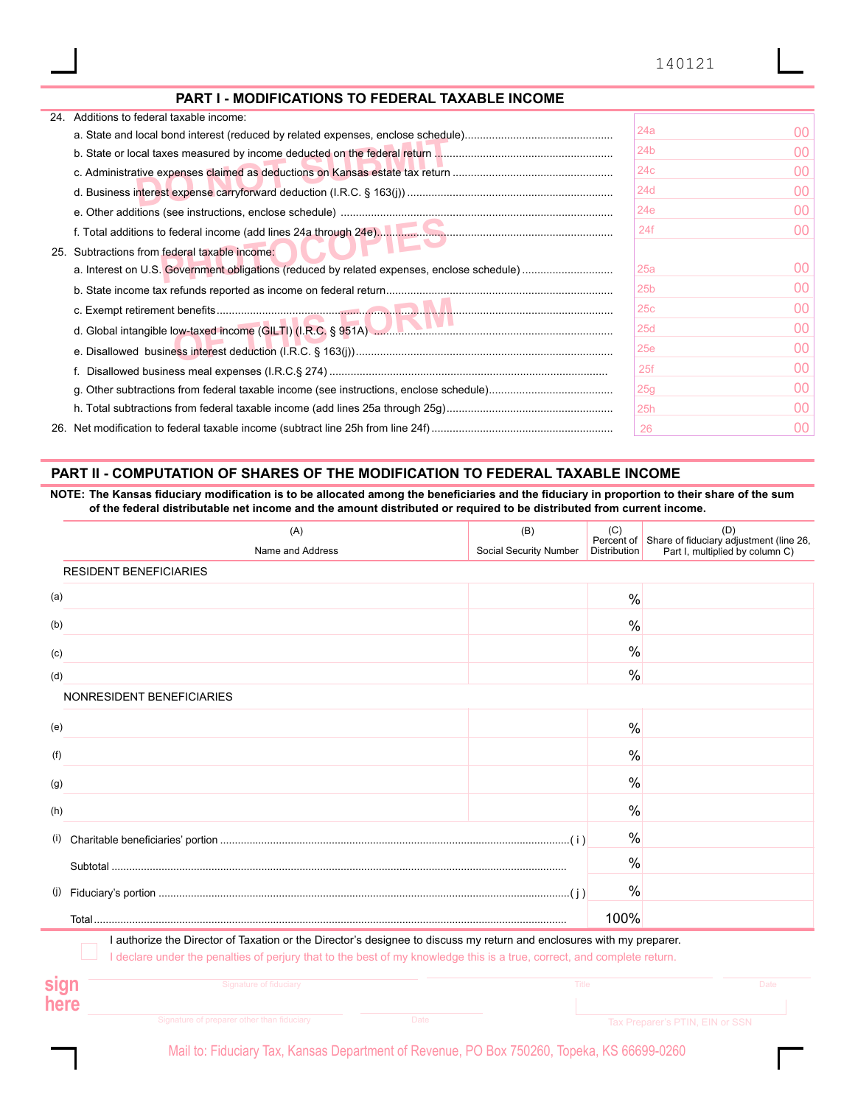#### PART I - MODIFICATIONS TO FEDERAL TAXABLE INCOME

| 24. Additions to federal taxable income:      |                 |         |
|-----------------------------------------------|-----------------|---------|
|                                               | 24a             | $00 \,$ |
|                                               | 24b             | 00      |
|                                               | 24 <sub>c</sub> | 00      |
|                                               | 24 <sub>d</sub> | 00      |
|                                               | 24e             | 00      |
|                                               | 24f             | 00      |
| 25. Subtractions from federal taxable income: |                 |         |
|                                               | 25a             | 00      |
|                                               | 25 <sub>b</sub> | 00      |
|                                               | 25 <sub>c</sub> | 00      |
|                                               | 25d             | 00      |
|                                               | 25e             | 00      |
|                                               | 25f             | 00      |
|                                               | 25g             | 00      |
|                                               | 25h             | 00      |
|                                               | 26              | 00      |
|                                               |                 |         |

#### PART II - COMPUTATION OF SHARES OF THE MODIFICATION TO FEDERAL TAXABLE INCOME

NOTE: The Kansas fiduciary modification is to be allocated among the beneficiaries and the fiduciary in proportion to their share of the sum of the federal distributable net income and the amount distributed or required to be distributed from current income.

|      | (A)                                                                                                                                                                                                                                              | (B)                    | (C)                 | (D)<br>Percent of Share of fiduciary adjustment (line 26, |
|------|--------------------------------------------------------------------------------------------------------------------------------------------------------------------------------------------------------------------------------------------------|------------------------|---------------------|-----------------------------------------------------------|
|      | Name and Address                                                                                                                                                                                                                                 | Social Security Number | <b>Distribution</b> | Part I, multiplied by column C)                           |
|      | <b>RESIDENT BENEFICIARIES</b>                                                                                                                                                                                                                    |                        |                     |                                                           |
| (a)  |                                                                                                                                                                                                                                                  |                        | $\frac{0}{0}$       |                                                           |
| (b)  |                                                                                                                                                                                                                                                  |                        | %                   |                                                           |
| (c)  |                                                                                                                                                                                                                                                  |                        | %                   |                                                           |
| (d)  |                                                                                                                                                                                                                                                  |                        | $\%$                |                                                           |
|      | NONRESIDENT BENEFICIARIES                                                                                                                                                                                                                        |                        |                     |                                                           |
| (e)  |                                                                                                                                                                                                                                                  |                        | $\frac{0}{0}$       |                                                           |
| (f)  |                                                                                                                                                                                                                                                  |                        | $\frac{0}{0}$       |                                                           |
| (g)  |                                                                                                                                                                                                                                                  |                        | $\%$                |                                                           |
| (h)  |                                                                                                                                                                                                                                                  |                        | $\%$                |                                                           |
| (i)  |                                                                                                                                                                                                                                                  |                        | $\frac{0}{0}$       |                                                           |
|      |                                                                                                                                                                                                                                                  |                        | $\frac{0}{0}$       |                                                           |
|      |                                                                                                                                                                                                                                                  |                        | $\frac{0}{0}$       |                                                           |
|      |                                                                                                                                                                                                                                                  |                        | 100%                |                                                           |
|      | I authorize the Director of Taxation or the Director's designee to discuss my return and enclosures with my preparer.<br>I declare under the penalties of perjury that to the best of my knowledge this is a true, correct, and complete return. |                        |                     |                                                           |
|      | Signature of fiduciary                                                                                                                                                                                                                           | <b>Title</b>           |                     | Date                                                      |
| here |                                                                                                                                                                                                                                                  |                        |                     |                                                           |
|      | Signature of preparer other than fiduciary<br><b>Date</b>                                                                                                                                                                                        |                        |                     | Tax Preparer's PTIN, EIN or SSN                           |

Mail to: Fiduciary Tax, Kansas Department of Revenue, PO Box 750260, Topeka, KS 66699-0260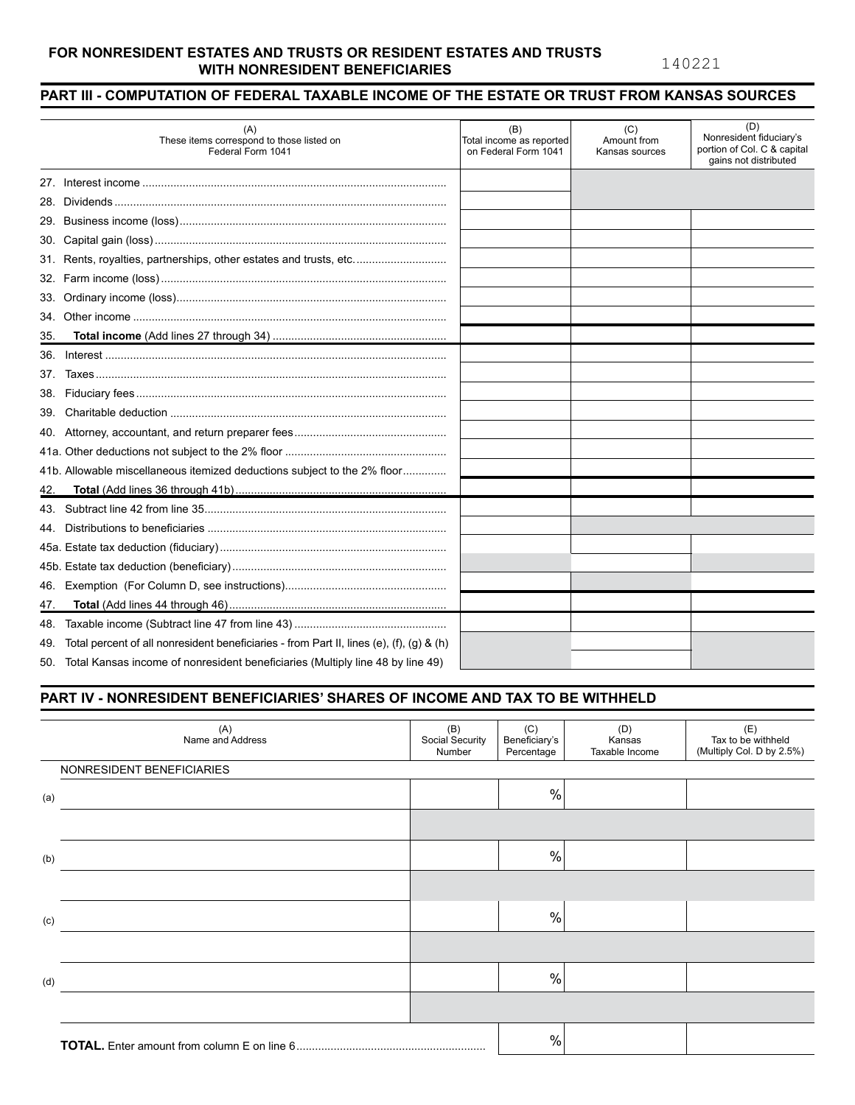#### **FOR NONRESIDENT ESTATES AND TRUSTS OR RESIDENT ESTATES AND TRUSTS WITH NONRESIDENT BENEFICIARIES**

140221

### **PART III - COMPUTATION OF FEDERAL TAXABLE INCOME OF THE ESTATE OR TRUST FROM KANSAS SOURCES**

|     | (A)<br>These items correspond to those listed on<br>Federal Form 1041                    | (B)<br>Total income as reported<br>on Federal Form 1041 | (C)<br>Amount from<br>Kansas sources | (D)<br>Nonresident fiduciary's<br>portion of Col. C & capital<br>gains not distributed |
|-----|------------------------------------------------------------------------------------------|---------------------------------------------------------|--------------------------------------|----------------------------------------------------------------------------------------|
|     |                                                                                          |                                                         |                                      |                                                                                        |
| 28. |                                                                                          |                                                         |                                      |                                                                                        |
|     |                                                                                          |                                                         |                                      |                                                                                        |
| 30. |                                                                                          |                                                         |                                      |                                                                                        |
|     | 31. Rents, royalties, partnerships, other estates and trusts, etc                        |                                                         |                                      |                                                                                        |
| 32. |                                                                                          |                                                         |                                      |                                                                                        |
| 33. |                                                                                          |                                                         |                                      |                                                                                        |
| 34. |                                                                                          |                                                         |                                      |                                                                                        |
| 35. |                                                                                          |                                                         |                                      |                                                                                        |
| 36. |                                                                                          |                                                         |                                      |                                                                                        |
| 37. |                                                                                          |                                                         |                                      |                                                                                        |
| 38. |                                                                                          |                                                         |                                      |                                                                                        |
| 39. |                                                                                          |                                                         |                                      |                                                                                        |
|     |                                                                                          |                                                         |                                      |                                                                                        |
|     |                                                                                          |                                                         |                                      |                                                                                        |
|     | 41b. Allowable miscellaneous itemized deductions subject to the 2% floor                 |                                                         |                                      |                                                                                        |
| 42. |                                                                                          |                                                         |                                      |                                                                                        |
| 43. |                                                                                          |                                                         |                                      |                                                                                        |
| 44. |                                                                                          |                                                         |                                      |                                                                                        |
|     |                                                                                          |                                                         |                                      |                                                                                        |
|     |                                                                                          |                                                         |                                      |                                                                                        |
| 46. |                                                                                          |                                                         |                                      |                                                                                        |
| 47. |                                                                                          |                                                         |                                      |                                                                                        |
| 48. |                                                                                          |                                                         |                                      |                                                                                        |
| 49. | Total percent of all nonresident beneficiaries - from Part II, lines (e), (f), (g) & (h) |                                                         |                                      |                                                                                        |
|     | 50. Total Kansas income of nonresident beneficiaries (Multiply line 48 by line 49)       |                                                         |                                      |                                                                                        |

#### **PART IV - NONRESIDENT BENEFICIARIES' SHARES OF INCOME AND TAX TO BE WITHHELD**

| (A)<br>Name and Address   | (B)<br>Social Security<br>Number | (C)<br>Beneficiary's<br>Percentage | (D)<br>Kansas<br>Taxable Income | (E)<br>Tax to be withheld<br>(Multiply Col. D by 2.5%) |  |  |
|---------------------------|----------------------------------|------------------------------------|---------------------------------|--------------------------------------------------------|--|--|
| NONRESIDENT BENEFICIARIES |                                  |                                    |                                 |                                                        |  |  |
| (a)                       |                                  | $\%$                               |                                 |                                                        |  |  |
|                           |                                  |                                    |                                 |                                                        |  |  |
| (b)                       |                                  | $\%$                               |                                 |                                                        |  |  |
|                           |                                  |                                    |                                 |                                                        |  |  |
| (c)                       |                                  | $\%$                               |                                 |                                                        |  |  |
|                           |                                  |                                    |                                 |                                                        |  |  |
| (d)                       |                                  | $\%$                               |                                 |                                                        |  |  |
|                           |                                  |                                    |                                 |                                                        |  |  |
|                           |                                  | $\frac{0}{0}$                      |                                 |                                                        |  |  |
|                           |                                  |                                    |                                 |                                                        |  |  |